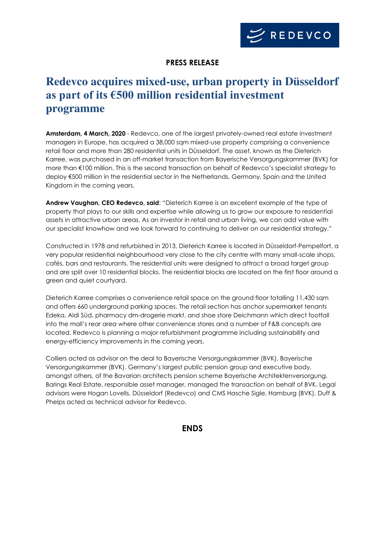

## **PRESS RELEASE**

# **Redevco acquires mixed-use, urban property in Düsseldorf as part of its €500 million residential investment programme**

**Amsterdam, 4 March, 2020** - Redevco, one of the largest privately-owned real estate investment managers in Europe, has acquired a 38,000 sqm mixed-use property comprising a convenience retail floor and more than 280 residential units in Düsseldorf. The asset, known as the Dieterich Karree, was purchased in an off-market transaction from Bayerische Versorgungskammer (BVK) for more than €100 million. This is the second transaction on behalf of Redevco's specialist strategy to deploy €500 million in the residential sector in the Netherlands, Germany, Spain and the United Kingdom in the coming years.

**Andrew Vaughan, CEO Redevco, said**: "Dieterich Karree is an excellent example of the type of property that plays to our skills and expertise while allowing us to grow our exposure to residential assets in attractive urban areas. As an investor in retail and urban living, we can add value with our specialist knowhow and we look forward to continuing to deliver on our residential strategy."

Constructed in 1978 and refurbished in 2013, Dieterich Karree is located in Düsseldorf-Pempelfort, a very popular residential neighbourhood very close to the city centre with many small-scale shops, cafés, bars and restaurants. The residential units were designed to attract a broad target group and are split over 10 residential blocks. The residential blocks are located on the first floor around a green and quiet courtyard.

Dieterich Karree comprises a convenience retail space on the ground floor totalling 11,430 sqm and offers 660 underground parking spaces. The retail section has anchor supermarket tenants Edeka, Aldi Süd, pharmacy dm-drogerie markt, and shoe store Deichmann which direct footfall into the mall's rear area where other convenience stores and a number of F&B concepts are located. Redevco is planning a major refurbishment programme including sustainability and energy-efficiency improvements in the coming years.

Colliers acted as advisor on the deal to Bayerische Versorgungskammer (BVK), Bayerische Versorgungskammer (BVK), Germany's largest public pension group and executive body, amongst others, of the Bavarian architects pension scheme Bayerische Architektenversorgung. Barings Real Estate, responsible asset manager, managed the transaction on behalf of BVK. Legal advisors were Hogan Lovells, Düsseldorf (Redevco) and CMS Hasche Sigle, Hamburg (BVK). Duff & Phelps acted as technical advisor for Redevco.

#### **ENDS**